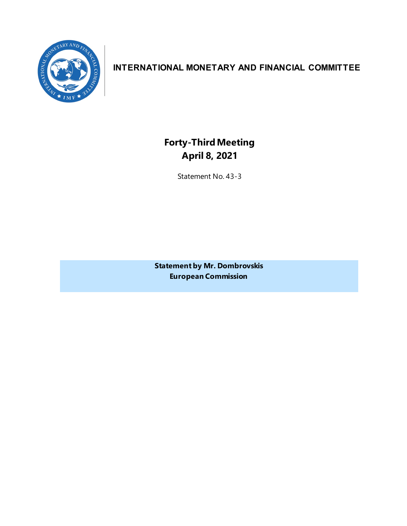

## **INTERNATIONAL MONETARY AND FINANCIAL COMMITTEE**

**Forty-ThirdMeeting April 8, 2021**

Statement No. 43-3

**Statement by Mr. Dombrovskis European Commission**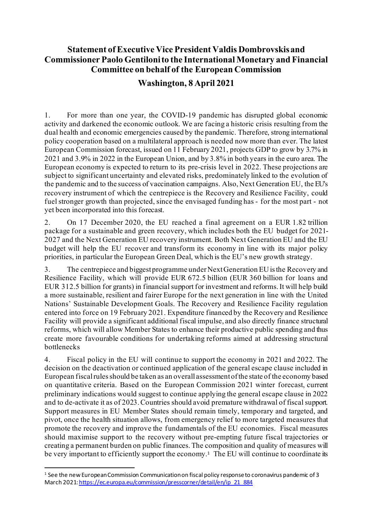## **Statement of Executive Vice President Valdis Dombrovskis and Commissioner Paolo Gentiloni to the International Monetary and Financial Committee on behalf of the European Commission**

## **Washington, 8 April 2021**

1. For more than one year, the COVID-19 pandemic has disrupted global economic activity and darkened the economic outlook. We are facing a historic crisis resulting from the dual health and economic emergencies caused by the pandemic. Therefore, strong international policy cooperation based on a multilateral approach is needed now more than ever. The latest European Commission forecast, issued on 11 February 2021, projects GDP to grow by 3.7% in 2021 and 3.9% in 2022 in the European Union, and by 3.8% in both years in the euro area. The European economy is expected to return to its pre-crisis level in 2022. These projections are subject to significant uncertainty and elevated risks, predominately linked to the evolution of the pandemic and to the success of vaccination campaigns. Also, Next Generation EU, the EU's recovery instrument of which the centrepiece is the Recovery and Resilience Facility, could fuel stronger growth than projected, since the envisaged funding has - for the most part - not yet been incorporated into this forecast.

2. On 17 December 2020, the EU reached a final agreement on a EUR 1.82 trillion package for a sustainable and green recovery, which includes both the EU budget for 2021- 2027 and the Next Generation EU recovery instrument. Both Next Generation EU and the EU budget will help the EU recover and transform its economy in line with its major policy priorities, in particular the European Green Deal, which is the EU's new growth strategy.

3. The centrepiece and biggest programme under Next Generation EU is the Recovery and Resilience Facility, which will provide EUR 672.5 billion (EUR 360 billion for loans and EUR 312.5 billion for grants) in financial support for investment and reforms. It will help build a more sustainable, resilient and fairer Europe for the next generation in line with the United Nations' Sustainable Development Goals. The Recovery and Resilience Facility regulation entered into force on 19 February 2021. Expenditure financed by the Recovery and Resilience Facility will provide a significant additional fiscal impulse, and also directly finance structural reforms, which will allow Member States to enhance their productive public spending and thus create more favourable conditions for undertaking reforms aimed at addressing structural bottlenecks

4. Fiscal policy in the EU will continue to support the economy in 2021 and 2022. The decision on the deactivation or continued application of the general escape clause included in European fiscal rules should be taken as an overall assessment of the state of the economy based on quantitative criteria. Based on the European Commission 2021 winter forecast, current preliminary indications would suggest to continue applying the general escape clause in 2022 and to de-activate it as of 2023. Countries should avoid premature withdrawal of fiscal support. Support measures in EU Member States should remain timely, temporary and targeted, and pivot, once the health situation allows, from emergency relief to more targeted measures that promote the recovery and improve the fundamentals of the EU economies. Fiscal measures should maximise support to the recovery without pre-empting future fiscal trajectories or creating a permanent burden on public finances. The composition and quality of measures will be very important to efficiently support the economy.<sup>[1](#page-2-0)</sup> The EU will continue to coordinate its

<span id="page-2-0"></span><sup>&</sup>lt;sup>1</sup> See the new European Commission Communication on fiscal policy response to coronavirus pandemic of 3 March 202[1: https://ec.europa.eu/commission/presscorner/detail/en/ip\\_21\\_884](https://ec.europa.eu/commission/presscorner/detail/en/ip_21_884)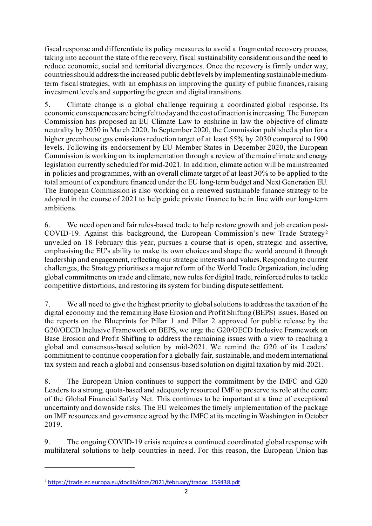fiscal response and differentiate its policy measures to avoid a fragmented recovery process, taking into account the state of the recovery, fiscal sustainability considerations and the need to reduce economic, social and territorial divergences. Once the recovery is firmly under way, countries should address the increased public debt levels by implementing sustainable mediumterm fiscal strategies, with an emphasis on improving the quality of public finances, raising investment levels and supporting the green and digital transitions.

5. Climate change is a global challenge requiring a coordinated global response. Its economic consequences are being felt today and the cost of inaction is increasing. The European Commission has proposed an EU Climate Law to enshrine in law the objective of climate neutrality by 2050 in March 2020. In September 2020, the Commission published a plan for a higher greenhouse gas emissions reduction target of at least 55% by 2030 compared to 1990 levels. Following its endorsement by EU Member States in December 2020, the European Commission is working on its implementation through a review of the main climate and energy legislation currently scheduled for mid-2021. In addition, climate action will be mainstreamed in policies and programmes, with an overall climate target of at least 30% to be applied to the total amount of expenditure financed under the EU long-term budget and Next Generation EU. The European Commission is also working on a renewed sustainable finance strategy to be adopted in the course of 2021 to help guide private finance to be in line with our long-term ambitions.

6. We need open and fair rules-based trade to help restore growth and job creation post-COVID-19. Against this background, the European Commission's new Trade Strategy[2](#page-3-0) unveiled on 18 February this year, pursues a course that is open, strategic and assertive, emphasising the EU's ability to make its own choices and shape the world around it through leadership and engagement, reflecting our strategic interests and values. Responding to current challenges, the Strategy prioritises a major reform of the World Trade Organization, including global commitments on trade and climate, new rules for digital trade, reinforced rules to tackle competitive distortions, and restoring its system for binding dispute settlement.

7. We all need to give the highest priority to global solutions to address the taxation of the digital economy and the remaining Base Erosion and Profit Shifting (BEPS) issues. Based on the reports on the Blueprints for Pillar 1 and Pillar 2 approved for public release by the G20/OECD Inclusive Framework on BEPS, we urge the G20/OECD Inclusive Framework on Base Erosion and Profit Shifting to address the remaining issues with a view to reaching a global and consensus-based solution by mid-2021. We remind the G20 of its Leaders' commitment to continue cooperation for a globally fair, sustainable, and modern international tax system and reach a global and consensus-based solution on digital taxation by mid-2021.

8. The European Union continues to support the commitment by the IMFC and G20 Leaders to a strong, quota-based and adequately resourced IMF to preserve its role at the centre of the Global Financial Safety Net. This continues to be important at a time of exceptional uncertainty and downside risks. The EU welcomes the timely implementation of the package on IMF resources and governance agreed by the IMFC at its meeting in Washington in October 2019.

9. The ongoing COVID-19 crisis requires a continued coordinated global response with multilateral solutions to help countries in need. For this reason, the European Union has

<span id="page-3-0"></span><sup>2</sup> [https://trade.ec.europa.eu/doclib/docs/2021/february/tradoc\\_159438.pdf](https://trade.ec.europa.eu/doclib/docs/2021/february/tradoc_159438.pdf)